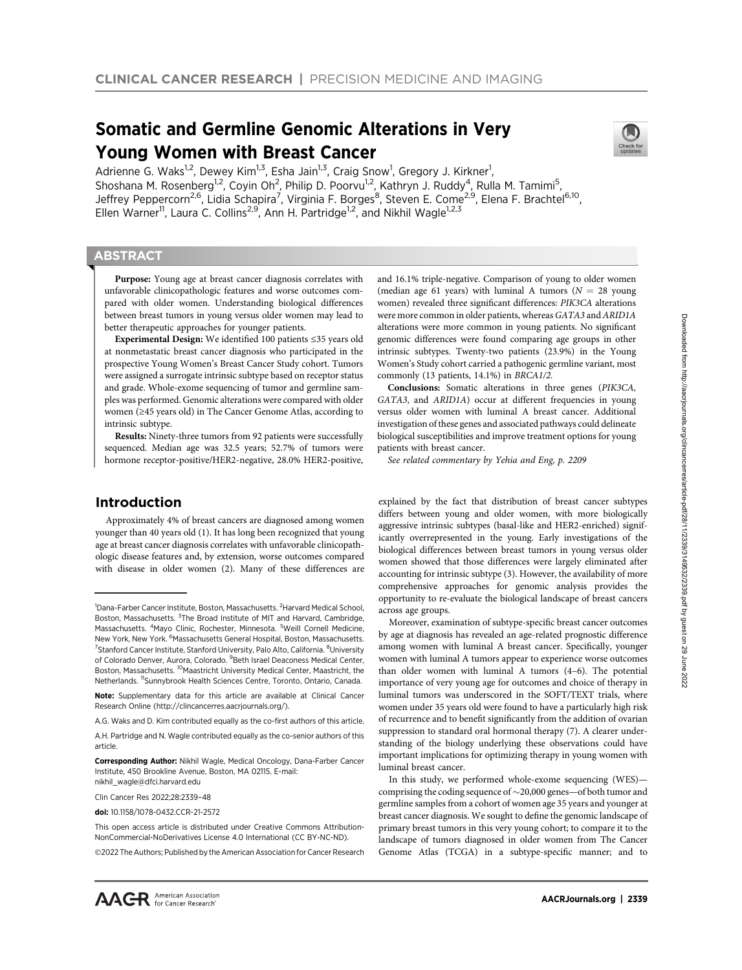# Somatic and Germline Genomic Alterations in Very Young Women with Breast Cancer



# **ABSTRACT**

◥

Purpose: Young age at breast cancer diagnosis correlates with unfavorable clinicopathologic features and worse outcomes compared with older women. Understanding biological differences between breast tumors in young versus older women may lead to better therapeutic approaches for younger patients.

Experimental Design: We identified 100 patients ≤35 years old at nonmetastatic breast cancer diagnosis who participated in the prospective Young Women's Breast Cancer Study cohort. Tumors were assigned a surrogate intrinsic subtype based on receptor status and grade. Whole-exome sequencing of tumor and germline samples was performed. Genomic alterations were compared with older women (≥45 years old) in The Cancer Genome Atlas, according to intrinsic subtype.

Results: Ninety-three tumors from 92 patients were successfully sequenced. Median age was 32.5 years; 52.7% of tumors were hormone receptor-positive/HER2-negative, 28.0% HER2-positive,

# Introduction

Approximately 4% of breast cancers are diagnosed among women younger than 40 years old (1). It has long been recognized that young age at breast cancer diagnosis correlates with unfavorable clinicopathologic disease features and, by extension, worse outcomes compared with disease in older women (2). Many of these differences are

Corresponding Author: Nikhil Wagle, Medical Oncology, Dana-Farber Cancer Institute, 450 Brookline Avenue, Boston, MA 02115. E-mail: nikhil\_wagle@dfci.harvard.edu

Clin Cancer Res 2022;28:2339–48

doi: 10.1158/1078-0432.CCR-21-2572

2022 The Authors; Published by the American Association for Cancer Research

and 16.1% triple-negative. Comparison of young to older women (median age 61 years) with luminal A tumors ( $N = 28$  young women) revealed three significant differences: PIK3CA alterations were more common in older patients, whereas GATA3 and ARID1A alterations were more common in young patients. No significant genomic differences were found comparing age groups in other intrinsic subtypes. Twenty-two patients (23.9%) in the Young Women's Study cohort carried a pathogenic germline variant, most commonly (13 patients, 14.1%) in BRCA1/2.

Conclusions: Somatic alterations in three genes (PIK3CA, GATA3, and ARID1A) occur at different frequencies in young versus older women with luminal A breast cancer. Additional investigation of these genes and associated pathways could delineate biological susceptibilities and improve treatment options for young patients with breast cancer.

See related commentary by Yehia and Eng, p. 2209

explained by the fact that distribution of breast cancer subtypes differs between young and older women, with more biologically aggressive intrinsic subtypes (basal-like and HER2-enriched) significantly overrepresented in the young. Early investigations of the biological differences between breast tumors in young versus older women showed that those differences were largely eliminated after accounting for intrinsic subtype (3). However, the availability of more comprehensive approaches for genomic analysis provides the opportunity to re-evaluate the biological landscape of breast cancers across age groups.

Moreover, examination of subtype-specific breast cancer outcomes by age at diagnosis has revealed an age-related prognostic difference among women with luminal A breast cancer. Specifically, younger women with luminal A tumors appear to experience worse outcomes than older women with luminal A tumors (4–6). The potential importance of very young age for outcomes and choice of therapy in luminal tumors was underscored in the SOFT/TEXT trials, where women under 35 years old were found to have a particularly high risk of recurrence and to benefit significantly from the addition of ovarian suppression to standard oral hormonal therapy (7). A clearer understanding of the biology underlying these observations could have important implications for optimizing therapy in young women with luminal breast cancer.

In this study, we performed whole-exome sequencing (WES) comprising the coding sequence of  $\sim$  20,000 genes—of both tumor and germline samples from a cohort of women age 35 years and younger at breast cancer diagnosis. We sought to define the genomic landscape of primary breast tumors in this very young cohort; to compare it to the landscape of tumors diagnosed in older women from The Cancer Genome Atlas (TCGA) in a subtype-specific manner; and to



<sup>&</sup>lt;sup>1</sup>Dana-Farber Cancer Institute, Boston, Massachusetts. <sup>2</sup>Harvard Medical School, Boston, Massachusetts. <sup>3</sup>The Broad Institute of MIT and Harvard, Cambridge, Massachusetts. <sup>4</sup>Mayo Clinic, Rochester, Minnesota. <sup>5</sup>Weill Cornell Medicine, New York, New York. <sup>6</sup>Massachusetts General Hospital, Boston, Massachusetts. <sup>7</sup> Stanford Cancer Institute, Stanford University, Palo Alto, California. <sup>8</sup> University of Colorado Denver, Aurora, Colorado. <sup>9</sup> Beth Israel Deaconess Medical Center, Boston, Massachusetts. <sup>10</sup>Maastricht University Medical Center, Maastricht, the Netherlands. 11Sunnybrook Health Sciences Centre, Toronto, Ontario, Canada.

Note: Supplementary data for this article are available at Clinical Cancer Research Online (http://clincancerres.aacrjournals.org/).

A.G. Waks and D. Kim contributed equally as the co-first authors of this article.

A.H. Partridge and N. Wagle contributed equally as the co-senior authors of this article.

This open access article is distributed under Creative Commons Attribution-NonCommercial-NoDerivatives License 4.0 International (CC BY-NC-ND).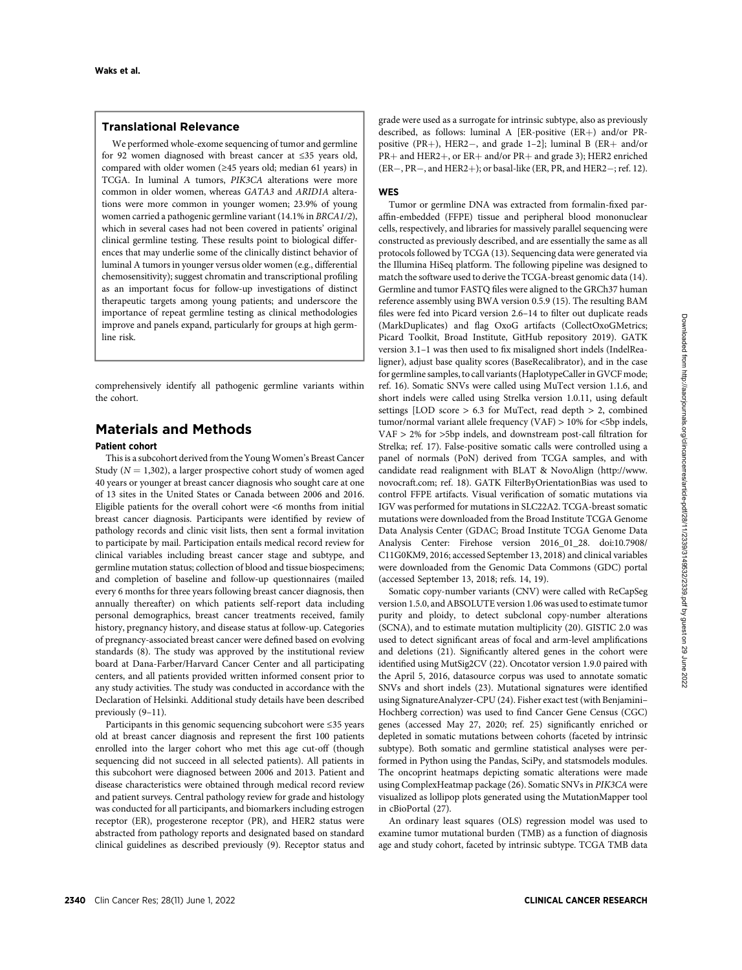# Translational Relevance

We performed whole-exome sequencing of tumor and germline for 92 women diagnosed with breast cancer at ≤35 years old, compared with older women (≥45 years old; median 61 years) in TCGA. In luminal A tumors, PIK3CA alterations were more common in older women, whereas GATA3 and ARID1A alterations were more common in younger women; 23.9% of young women carried a pathogenic germline variant (14.1% in BRCA1/2), which in several cases had not been covered in patients' original clinical germline testing. These results point to biological differences that may underlie some of the clinically distinct behavior of luminal A tumors in younger versus older women (e.g., differential chemosensitivity); suggest chromatin and transcriptional profiling as an important focus for follow-up investigations of distinct therapeutic targets among young patients; and underscore the importance of repeat germline testing as clinical methodologies improve and panels expand, particularly for groups at high germline risk.

comprehensively identify all pathogenic germline variants within the cohort.

# Materials and Methods

## Patient cohort

This is a subcohort derived from the Young Women's Breast Cancer Study ( $N = 1,302$ ), a larger prospective cohort study of women aged 40 years or younger at breast cancer diagnosis who sought care at one of 13 sites in the United States or Canada between 2006 and 2016. Eligible patients for the overall cohort were <6 months from initial breast cancer diagnosis. Participants were identified by review of pathology records and clinic visit lists, then sent a formal invitation to participate by mail. Participation entails medical record review for clinical variables including breast cancer stage and subtype, and germline mutation status; collection of blood and tissue biospecimens; and completion of baseline and follow-up questionnaires (mailed every 6 months for three years following breast cancer diagnosis, then annually thereafter) on which patients self-report data including personal demographics, breast cancer treatments received, family history, pregnancy history, and disease status at follow-up. Categories of pregnancy-associated breast cancer were defined based on evolving standards (8). The study was approved by the institutional review board at Dana-Farber/Harvard Cancer Center and all participating centers, and all patients provided written informed consent prior to any study activities. The study was conducted in accordance with the Declaration of Helsinki. Additional study details have been described previously (9–11).

Participants in this genomic sequencing subcohort were ≤35 years old at breast cancer diagnosis and represent the first 100 patients enrolled into the larger cohort who met this age cut-off (though sequencing did not succeed in all selected patients). All patients in this subcohort were diagnosed between 2006 and 2013. Patient and disease characteristics were obtained through medical record review and patient surveys. Central pathology review for grade and histology was conducted for all participants, and biomarkers including estrogen receptor (ER), progesterone receptor (PR), and HER2 status were abstracted from pathology reports and designated based on standard clinical guidelines as described previously (9). Receptor status and grade were used as a surrogate for intrinsic subtype, also as previously described, as follows: luminal A [ER-positive  $(ER+)$  and/or PRpositive (PR+), HER2-, and grade 1-2]; luminal B (ER+ and/or  $PR+$  and HER2+, or ER+ and/or PR+ and grade 3); HER2 enriched  $(ER-, PR-, and HER2+)$ ; or basal-like (ER, PR, and HER2-; ref. 12).

# **WFS**

Tumor or germline DNA was extracted from formalin-fixed paraffin-embedded (FFPE) tissue and peripheral blood mononuclear cells, respectively, and libraries for massively parallel sequencing were constructed as previously described, and are essentially the same as all protocols followed by TCGA (13). Sequencing data were generated via the Illumina HiSeq platform. The following pipeline was designed to match the software used to derive the TCGA-breast genomic data (14). Germline and tumor FASTQ files were aligned to the GRCh37 human reference assembly using BWA version 0.5.9 (15). The resulting BAM files were fed into Picard version 2.6–14 to filter out duplicate reads (MarkDuplicates) and flag OxoG artifacts (CollectOxoGMetrics; Picard Toolkit, Broad Institute, GitHub repository 2019). GATK version 3.1–1 was then used to fix misaligned short indels (IndelRealigner), adjust base quality scores (BaseRecalibrator), and in the case for germline samples, to call variants (HaplotypeCaller in GVCF mode; ref. 16). Somatic SNVs were called using MuTect version 1.1.6, and short indels were called using Strelka version 1.0.11, using default settings [LOD score  $> 6.3$  for MuTect, read depth  $> 2$ , combined tumor/normal variant allele frequency (VAF) > 10% for <5bp indels, VAF > 2% for >5bp indels, and downstream post-call filtration for Strelka; ref. 17). False-positive somatic calls were controlled using a panel of normals (PoN) derived from TCGA samples, and with candidate read realignment with BLAT & NovoAlign ([http://www.](http://www.novocraft.com) [novocraft.com](http://www.novocraft.com); ref. 18). GATK FilterByOrientationBias was used to control FFPE artifacts. Visual verification of somatic mutations via IGV was performed for mutations in SLC22A2. TCGA-breast somatic mutations were downloaded from the Broad Institute TCGA Genome Data Analysis Center (GDAC; Broad Institute TCGA Genome Data Analysis Center: Firehose version 2016\_01\_28. doi:10.7908/ C11G0KM9, 2016; accessed September 13, 2018) and clinical variables were downloaded from the Genomic Data Commons (GDC) portal (accessed September 13, 2018; refs. 14, 19).

Somatic copy-number variants (CNV) were called with ReCapSeg version 1.5.0, and ABSOLUTE version 1.06 was used to estimate tumor purity and ploidy, to detect subclonal copy-number alterations (SCNA), and to estimate mutation multiplicity (20). GISTIC 2.0 was used to detect significant areas of focal and arm-level amplifications and deletions (21). Significantly altered genes in the cohort were identified using MutSig2CV (22). Oncotator version 1.9.0 paired with the April 5, 2016, datasource corpus was used to annotate somatic SNVs and short indels (23). Mutational signatures were identified using SignatureAnalyzer-CPU (24). Fisher exact test (with Benjamini– Hochberg correction) was used to find Cancer Gene Census (CGC) genes (accessed May 27, 2020; ref. 25) significantly enriched or depleted in somatic mutations between cohorts (faceted by intrinsic subtype). Both somatic and germline statistical analyses were performed in Python using the Pandas, SciPy, and statsmodels modules. The oncoprint heatmaps depicting somatic alterations were made using ComplexHeatmap package (26). Somatic SNVs in PIK3CA were visualized as lollipop plots generated using the MutationMapper tool in cBioPortal (27).

An ordinary least squares (OLS) regression model was used to examine tumor mutational burden (TMB) as a function of diagnosis age and study cohort, faceted by intrinsic subtype. TCGA TMB data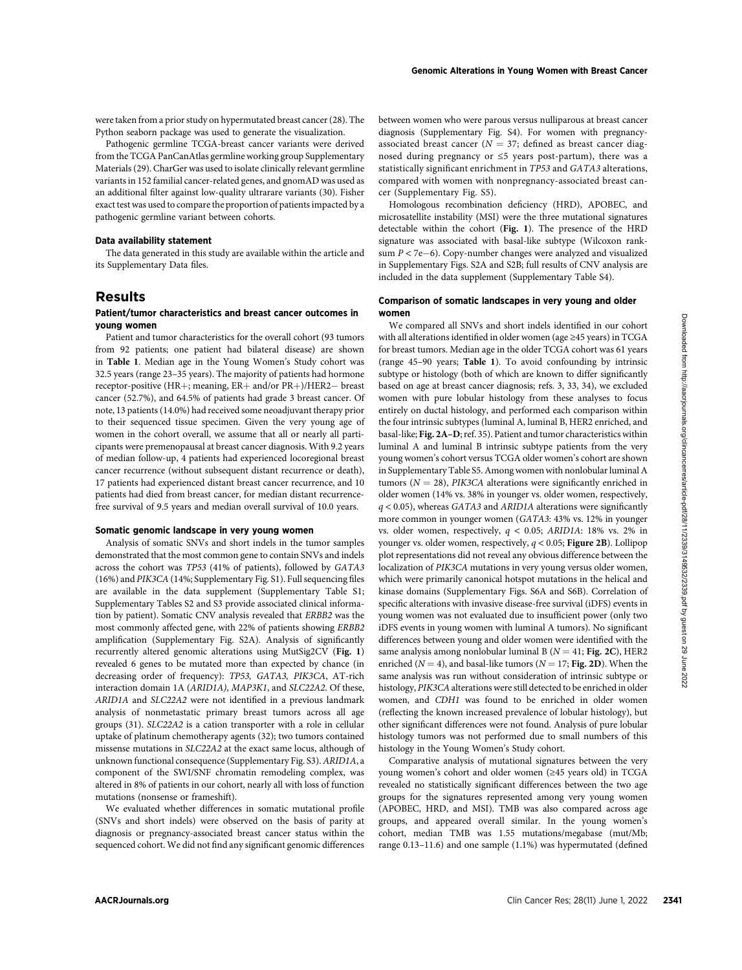were taken from a prior study on hypermutated breast cancer (28). The Python seaborn package was used to generate the visualization.

Pathogenic germline TCGA-breast cancer variants were derived from the TCGA PanCanAtlas germline working group Supplementary Materials (29). CharGer was used to isolate clinically relevant germline variants in 152 familial cancer-related genes, and gnomAD was used as an additional filter against low-quality ultrarare variants (30). Fisher exact test was used to compare the proportion of patients impacted by a pathogenic germline variant between cohorts.

#### Data availability statement

The data generated in this study are available within the article and its Supplementary Data files.

# Results

## Patient/tumor characteristics and breast cancer outcomes in young women

Patient and tumor characteristics for the overall cohort (93 tumors from 92 patients; one patient had bilateral disease) are shown in Table 1. Median age in the Young Women's Study cohort was 32.5 years (range 23–35 years). The majority of patients had hormone receptor-positive (HR+; meaning,  $ER+$  and/or  $PR+$ )/HER2- breast cancer (52.7%), and 64.5% of patients had grade 3 breast cancer. Of note, 13 patients (14.0%) had received some neoadjuvant therapy prior to their sequenced tissue specimen. Given the very young age of women in the cohort overall, we assume that all or nearly all participants were premenopausal at breast cancer diagnosis. With 9.2 years of median follow-up, 4 patients had experienced locoregional breast cancer recurrence (without subsequent distant recurrence or death), 17 patients had experienced distant breast cancer recurrence, and 10 patients had died from breast cancer, for median distant recurrencefree survival of 9.5 years and median overall survival of 10.0 years.

### Somatic genomic landscape in very young women

Analysis of somatic SNVs and short indels in the tumor samples demonstrated that the most common gene to contain SNVs and indels across the cohort was TP53 (41% of patients), followed by GATA3 (16%) and PIK3CA (14%; Supplementary Fig. S1). Full sequencing files are available in the data supplement (Supplementary Table S1; Supplementary Tables S2 and S3 provide associated clinical information by patient). Somatic CNV analysis revealed that ERBB2 was the most commonly affected gene, with 22% of patients showing ERBB2 amplification (Supplementary Fig. S2A). Analysis of significantly recurrently altered genomic alterations using MutSig2CV (Fig. 1) revealed 6 genes to be mutated more than expected by chance (in decreasing order of frequency): TP53, GATA3, PIK3CA, AT-rich interaction domain 1A (ARID1A), MAP3K1, and SLC22A2. Of these, ARID1A and SLC22A2 were not identified in a previous landmark analysis of nonmetastatic primary breast tumors across all age groups (31). SLC22A2 is a cation transporter with a role in cellular uptake of platinum chemotherapy agents (32); two tumors contained missense mutations in SLC22A2 at the exact same locus, although of unknown functional consequence (Supplementary Fig. S3). ARID1A, a component of the SWI/SNF chromatin remodeling complex, was altered in 8% of patients in our cohort, nearly all with loss of function mutations (nonsense or frameshift).

We evaluated whether differences in somatic mutational profile (SNVs and short indels) were observed on the basis of parity at diagnosis or pregnancy-associated breast cancer status within the sequenced cohort. We did not find any significant genomic differences between women who were parous versus nulliparous at breast cancer diagnosis (Supplementary Fig. S4). For women with pregnancyassociated breast cancer ( $N = 37$ ; defined as breast cancer diagnosed during pregnancy or ≤5 years post-partum), there was a statistically significant enrichment in TP53 and GATA3 alterations, compared with women with nonpregnancy-associated breast cancer (Supplementary Fig. S5).

Homologous recombination deficiency (HRD), APOBEC, and microsatellite instability (MSI) were the three mutational signatures detectable within the cohort (Fig. 1). The presence of the HRD signature was associated with basal-like subtype (Wilcoxon ranksum  $P < 7e-6$ ). Copy-number changes were analyzed and visualized in Supplementary Figs. S2A and S2B; full results of CNV analysis are included in the data supplement (Supplementary Table S4).

## Comparison of somatic landscapes in very young and older women

We compared all SNVs and short indels identified in our cohort with all alterations identified in older women (age ≥45 years) in TCGA for breast tumors. Median age in the older TCGA cohort was 61 years (range 45–90 years; Table 1). To avoid confounding by intrinsic subtype or histology (both of which are known to differ significantly based on age at breast cancer diagnosis; refs. 3, 33, 34), we excluded women with pure lobular histology from these analyses to focus entirely on ductal histology, and performed each comparison within the four intrinsic subtypes (luminal A, luminal B, HER2 enriched, and basal-like; Fig. 2A–D; ref. 35). Patient and tumor characteristics within luminal A and luminal B intrinsic subtype patients from the very young women's cohort versus TCGA older women's cohort are shown in Supplementary Table S5. Among women with nonlobular luminal A tumors ( $N = 28$ ), *PIK3CA* alterations were significantly enriched in older women (14% vs. 38% in younger vs. older women, respectively,  $q$  < 0.05), whereas GATA3 and ARID1A alterations were significantly more common in younger women (GATA3: 43% vs. 12% in younger vs. older women, respectively,  $q < 0.05$ ; ARID1A: 18% vs. 2% in younger vs. older women, respectively,  $q < 0.05$ ; Figure 2B). Lollipop plot representations did not reveal any obvious difference between the localization of PIK3CA mutations in very young versus older women, which were primarily canonical hotspot mutations in the helical and kinase domains (Supplementary Figs. S6A and S6B). Correlation of specific alterations with invasive disease-free survival (iDFS) events in young women was not evaluated due to insufficient power (only two iDFS events in young women with luminal A tumors). No significant differences between young and older women were identified with the same analysis among nonlobular luminal B ( $N = 41$ ; Fig. 2C), HER2 enriched ( $N = 4$ ), and basal-like tumors ( $N = 17$ ; Fig. 2D). When the same analysis was run without consideration of intrinsic subtype or histology, PIK3CA alterations were still detected to be enriched in older women, and CDH1 was found to be enriched in older women (reflecting the known increased prevalence of lobular histology), but other significant differences were not found. Analysis of pure lobular histology tumors was not performed due to small numbers of this histology in the Young Women's Study cohort. **PRODUCES THE CLIN CANCER CONSULTER CONVENIENCE CONSULTER CONSULTER CONSULTER CONSULTER CONSULTER CONSULTER CONSULTER CONSULTER CONSULTER CONSULTER CONSULTER CONSULTER CONSULTER CONSULTER CONSULTER CONSULTER CONSULTER CON** 

Comparative analysis of mutational signatures between the very young women's cohort and older women (≥45 years old) in TCGA revealed no statistically significant differences between the two age groups for the signatures represented among very young women (APOBEC, HRD, and MSI). TMB was also compared across age groups, and appeared overall similar. In the young women's cohort, median TMB was 1.55 mutations/megabase (mut/Mb; range 0.13–11.6) and one sample (1.1%) was hypermutated (defined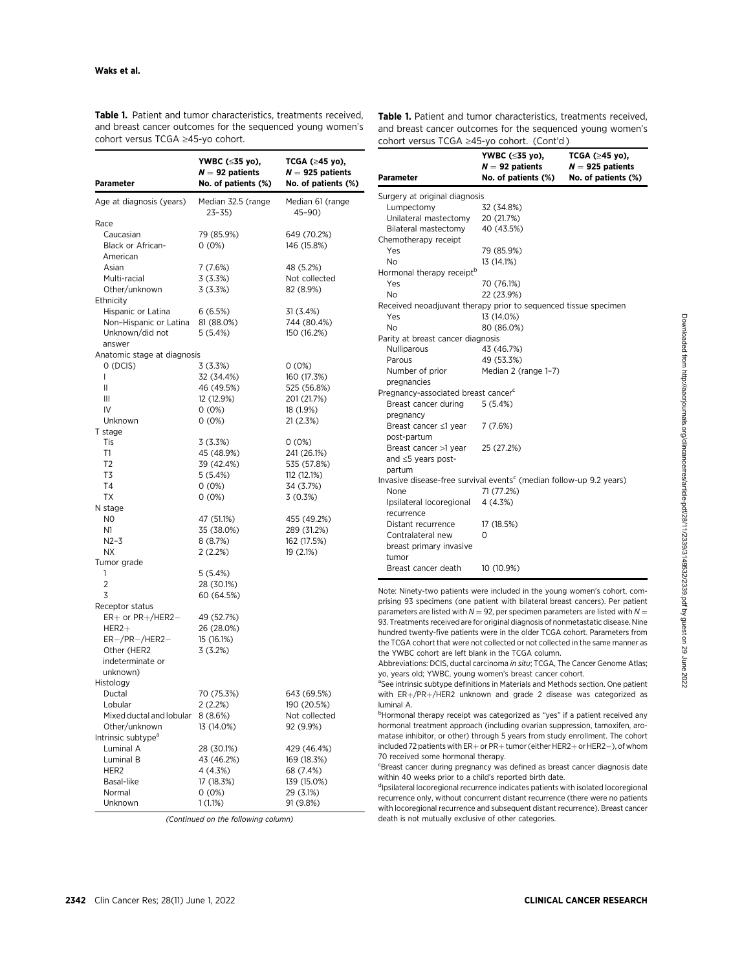Table 1. Patient and tumor characteristics, treatments received, and breast cancer outcomes for the sequenced young women's cohort versus TCGA ≥45-yo cohort.

Table 1. Patient and tumor characteristics, treatments received, and breast cancer outcomes for the sequenced young women's cohort versus TCGA ≥45-yo cohort. (Cont'd )

YWBC (≤35 yo),

TCGA ( $\geq 45$  yo),

| Parameter                                       | YWBC (≤35 yo),<br>$N = 92$ patients<br>No. of patients (%) | TCGA (≥45 yo),<br>$N = 925$ patients<br>No. of patients (%) |
|-------------------------------------------------|------------------------------------------------------------|-------------------------------------------------------------|
| Age at diagnosis (years)                        | Median 32.5 (range<br>23–35)                               | Median 61 (range<br>45-90)                                  |
| Race                                            |                                                            |                                                             |
| Caucasian                                       | 79 (85.9%)                                                 | 649 (70.2%)                                                 |
| Black or African-                               | $0(0\%)$                                                   | 146 (15.8%)                                                 |
| American                                        |                                                            |                                                             |
| Asian                                           | 7 (7.6%)                                                   | 48 (5.2%)                                                   |
| Multi-racial                                    | 3 (3.3%)                                                   | Not collected                                               |
| Other/unknown                                   | 3(3.3%)                                                    | 82 (8.9%)                                                   |
| Ethnicity                                       |                                                            |                                                             |
| Hispanic or Latina                              | 6(6.5%)                                                    | 31 (3.4%)                                                   |
| Non-Hispanic or Latina                          | 81 (88.0%)                                                 | 744 (80.4%)                                                 |
| Unknown/did not                                 | 5(5.4%)                                                    | 150 (16.2%)                                                 |
| answer                                          |                                                            |                                                             |
| Anatomic stage at diagnosis                     |                                                            |                                                             |
| 0 (DCIS)                                        | 3 (3.3%)                                                   | $0(0\%)$                                                    |
| $\mathbf{I}$                                    | 32 (34.4%)                                                 | 160 (17.3%)                                                 |
| Ш                                               | 46 (49.5%)                                                 | 525 (56.8%)                                                 |
| Ш                                               | 12 (12.9%)                                                 | 201 (21.7%)                                                 |
| IV                                              | $0(0\%)$                                                   | 18 (1.9%)                                                   |
| Unknown                                         | $0(0\%)$                                                   | 21 (2.3%)                                                   |
| T stage                                         |                                                            |                                                             |
| Tis                                             | 3(3.3%)                                                    | 0(0%)                                                       |
| T1                                              | 45 (48.9%)                                                 | 241 (26.1%)                                                 |
| T <sub>2</sub>                                  | 39 (42.4%)                                                 | 535 (57.8%)                                                 |
| T3                                              | 5(5.4%)                                                    | 112 (12.1%)                                                 |
| T4                                              | 0 (0%)                                                     | 34 (3.7%)                                                   |
| TX                                              | $0(0\%)$                                                   | 3(0.3%)                                                     |
| N stage                                         |                                                            |                                                             |
| N0                                              | 47 (51.1%)                                                 | 455 (49.2%)                                                 |
| N1                                              | 35 (38.0%)                                                 | 289 (31.2%)                                                 |
| $N2-3$                                          | 8(8.7%)                                                    | 162 (17.5%)                                                 |
| NΧ                                              | 2(2.2%)                                                    | 19 (2.1%)                                                   |
| Tumor grade                                     |                                                            |                                                             |
| 1                                               | 5 (5.4%)                                                   |                                                             |
| $\overline{2}$                                  | 28 (30.1%)                                                 |                                                             |
| 3                                               | 60 (64.5%)                                                 |                                                             |
| Receptor status                                 |                                                            |                                                             |
| $ER+$ or $PR+/HER2-$                            | 49 (52.7%)                                                 |                                                             |
| $HER2+$                                         | 26 (28.0%)<br>15 (16.1%)                                   |                                                             |
| $ER-/PR-/HER2-$                                 |                                                            |                                                             |
| Other (HER2<br>indeterminate or                 | 3(3.2%)                                                    |                                                             |
|                                                 |                                                            |                                                             |
| unknown)                                        |                                                            |                                                             |
| Histology                                       |                                                            |                                                             |
| Ductal<br>Lobular                               | 70 (75.3%)<br>2 (2.2%)                                     | 643 (69.5%)<br>190 (20.5%)                                  |
| Mixed ductal and lobular                        | 8(8.6%)                                                    | Not collected                                               |
|                                                 |                                                            |                                                             |
| Other/unknown<br>Intrinsic subtype <sup>a</sup> | 13 (14.0%)                                                 | 92 (9.9%)                                                   |
| Luminal A                                       |                                                            |                                                             |
|                                                 | 28 (30.1%)                                                 | 429 (46.4%)                                                 |
| Luminal B<br>HER <sub>2</sub>                   | 43 (46.2%)<br>4 (4.3%)                                     | 169 (18.3%)                                                 |
| Basal-like                                      | 17 (18.3%)                                                 | 68 (7.4%)                                                   |
| Normal                                          | 0 (0%)                                                     | 139 (15.0%)<br>29 (3.1%)                                    |
|                                                 | 1 (1.1%)                                                   | 91 (9.8%)                                                   |

(Continued on the following column)

| Parameter                                                                       | $N = 92$ patients<br>No. of patients (%) | $N = 925$ patients<br>No. of patients (%) |
|---------------------------------------------------------------------------------|------------------------------------------|-------------------------------------------|
| Surgery at original diagnosis                                                   |                                          |                                           |
| Lumpectomy                                                                      | 32 (34.8%)                               |                                           |
| Unilateral mastectomy                                                           | 20 (21.7%)                               |                                           |
| Bilateral mastectomy                                                            | 40 (43.5%)                               |                                           |
| Chemotherapy receipt                                                            |                                          |                                           |
| Yes                                                                             | 79 (85.9%)                               |                                           |
| No                                                                              | 13 (14.1%)                               |                                           |
| Hormonal therapy receipt <sup>b</sup>                                           |                                          |                                           |
| Yes                                                                             | 70 (76.1%)                               |                                           |
| No                                                                              | 22 (23.9%)                               |                                           |
| Received neoadjuvant therapy prior to sequenced tissue specimen                 |                                          |                                           |
| Yes                                                                             | 13 (14.0%)                               |                                           |
| No                                                                              | 80 (86.0%)                               |                                           |
| Parity at breast cancer diagnosis                                               |                                          |                                           |
| Nulliparous                                                                     | 43 (46.7%)                               |                                           |
| Parous                                                                          | 49 (53.3%)                               |                                           |
| Number of prior                                                                 | Median 2 (range 1-7)                     |                                           |
| pregnancies                                                                     |                                          |                                           |
| Pregnancy-associated breast cancer <sup>c</sup>                                 |                                          |                                           |
| Breast cancer during<br>pregnancy                                               | 5(5.4%)                                  |                                           |
| Breast cancer ≤1 year                                                           | 7 (7.6%)                                 |                                           |
| post-partum                                                                     |                                          |                                           |
| Breast cancer >1 year                                                           | 25 (27.2%)                               |                                           |
| and $\leq$ 5 years post-                                                        |                                          |                                           |
| partum                                                                          |                                          |                                           |
| Invasive disease-free survival events <sup>c</sup> (median follow-up 9.2 years) |                                          |                                           |
| None                                                                            | 71 (77.2%)                               |                                           |
| Ipsilateral locoregional 4 (4.3%)                                               |                                          |                                           |
| recurrence                                                                      |                                          |                                           |
| Distant recurrence                                                              | 17 (18.5%)                               |                                           |
| Contralateral new                                                               | 0                                        |                                           |
| breast primary invasive                                                         |                                          |                                           |
| tumor                                                                           |                                          |                                           |
| Breast cancer death                                                             | 10 (10.9%)                               |                                           |

ote: Ninety-two patients were included in the young women's cohort, comising 93 specimens (one patient with bilateral breast cancers). Per patient arameters are listed with  $N = 92$ , per specimen parameters are listed with  $N = 1$ 93. Treatments received are for original diagnosis of nonmetastatic disease. Nine indred twenty-five patients were in the older TCGA cohort. Parameters from e TCGA cohort that were not collected or not collected in the same manner as the YWBC cohort are left blank in the TCGA column.

bbreviations: DCIS, ductal carcinoma *in situ*; TCGA, The Cancer Genome Atlas; b, years old; YWBC, young women's breast cancer cohort.

See intrinsic subtype definitions in Materials and Methods section. One patient ith ER+/PR+/HER2 unknown and grade 2 disease was categorized as minal A.

Hormonal therapy receipt was categorized as "yes" if a patient received any ormonal treatment approach (including ovarian suppression, tamoxifen, aroatase inhibitor, or other) through 5 years from study enrollment. The cohort cluded 72 patients with ER $+$  or PR $+$  tumor (either HER2 $+$  or HER2 $-$ ), of whom I received some hormonal therapy.

Breast cancer during pregnancy was defined as breast cancer diagnosis date ithin 40 weeks prior to a child's reported birth date.

psilateral locoregional recurrence indicates patients with isolated locoregional currence only, without concurrent distant recurrence (there were no patients ith locoregional recurrence and subsequent distant recurrence). Breast cancer death is not mutually exclusive of other categories.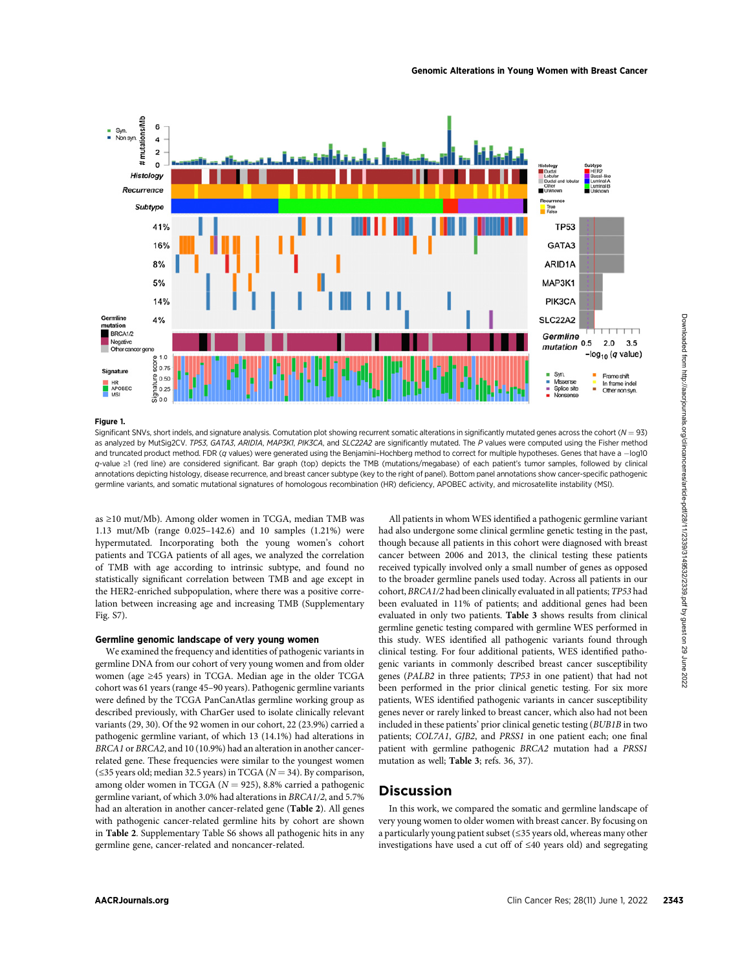

#### Genomic Alterations in Young Women with Breast Cancer

# Figure 1.

Significant SNVs, short indels, and signature analysis. Comutation plot showing recurrent somatic alterations in significantly mutated genes across the cohort ( $N = 93$ ) as analyzed by MutSig2CV. TP53, GATA3, ARID1A, MAP3K1, PIK3CA, and SLC22A2 are significantly mutated. The P values were computed using the Fisher method and truncated product method. FDR (q values) were generated using the Benjamini–Hochberg method to correct for multiple hypotheses. Genes that have a  $-$ log10 q-value ≥1 (red line) are considered significant. Bar graph (top) depicts the TMB (mutations/megabase) of each patient's tumor samples, followed by clinical annotations depicting histology, disease recurrence, and breast cancer subtype (key to the right of panel). Bottom panel annotations show cancer-specific pathogenic germline variants, and somatic mutational signatures of homologous recombination (HR) deficiency, APOBEC activity, and microsatellite instability (MSI).

as ≥10 mut/Mb). Among older women in TCGA, median TMB was 1.13 mut/Mb (range 0.025–142.6) and 10 samples (1.21%) were hypermutated. Incorporating both the young women's cohort patients and TCGA patients of all ages, we analyzed the correlation of TMB with age according to intrinsic subtype, and found no statistically significant correlation between TMB and age except in the HER2-enriched subpopulation, where there was a positive correlation between increasing age and increasing TMB (Supplementary Fig. S7).

#### Germline genomic landscape of very young women

We examined the frequency and identities of pathogenic variants in germline DNA from our cohort of very young women and from older women (age ≥45 years) in TCGA. Median age in the older TCGA cohort was 61 years (range 45–90 years). Pathogenic germline variants were defined by the TCGA PanCanAtlas germline working group as described previously, with CharGer used to isolate clinically relevant variants (29, 30). Of the 92 women in our cohort, 22 (23.9%) carried a pathogenic germline variant, of which 13 (14.1%) had alterations in BRCA1 or BRCA2, and 10 (10.9%) had an alteration in another cancerrelated gene. These frequencies were similar to the youngest women  $(\leq$ 35 years old; median 32.5 years) in TCGA ( $N = 34$ ). By comparison, among older women in TCGA ( $N = 925$ ), 8.8% carried a pathogenic germline variant, of which 3.0% had alterations in BRCA1/2, and 5.7% had an alteration in another cancer-related gene (Table 2). All genes with pathogenic cancer-related germline hits by cohort are shown in Table 2. Supplementary Table S6 shows all pathogenic hits in any germline gene, cancer-related and noncancer-related.

All patients in whom WES identified a pathogenic germline variant had also undergone some clinical germline genetic testing in the past, though because all patients in this cohort were diagnosed with breast cancer between 2006 and 2013, the clinical testing these patients received typically involved only a small number of genes as opposed to the broader germline panels used today. Across all patients in our cohort, BRCA1/2 had been clinically evaluated in all patients; TP53 had been evaluated in 11% of patients; and additional genes had been evaluated in only two patients. Table 3 shows results from clinical germline genetic testing compared with germline WES performed in this study. WES identified all pathogenic variants found through clinical testing. For four additional patients, WES identified pathogenic variants in commonly described breast cancer susceptibility genes (PALB2 in three patients; TP53 in one patient) that had not been performed in the prior clinical genetic testing. For six more patients, WES identified pathogenic variants in cancer susceptibility genes never or rarely linked to breast cancer, which also had not been included in these patients' prior clinical genetic testing (BUB1B in two patients; COL7A1, GJB2, and PRSS1 in one patient each; one final patient with germline pathogenic BRCA2 mutation had a PRSS1 mutation as well; Table 3; refs. 36, 37). And the second of the second from the second from the second from https://aacres.org/clincancer. The second from https://aacres.org/clincancer. The second from https://aacres.org/clinicancer. The second from https://aacre

# **Discussion**

In this work, we compared the somatic and germline landscape of very young women to older women with breast cancer. By focusing on a particularly young patient subset (≤35 years old, whereas many other investigations have used a cut off of ≤40 years old) and segregating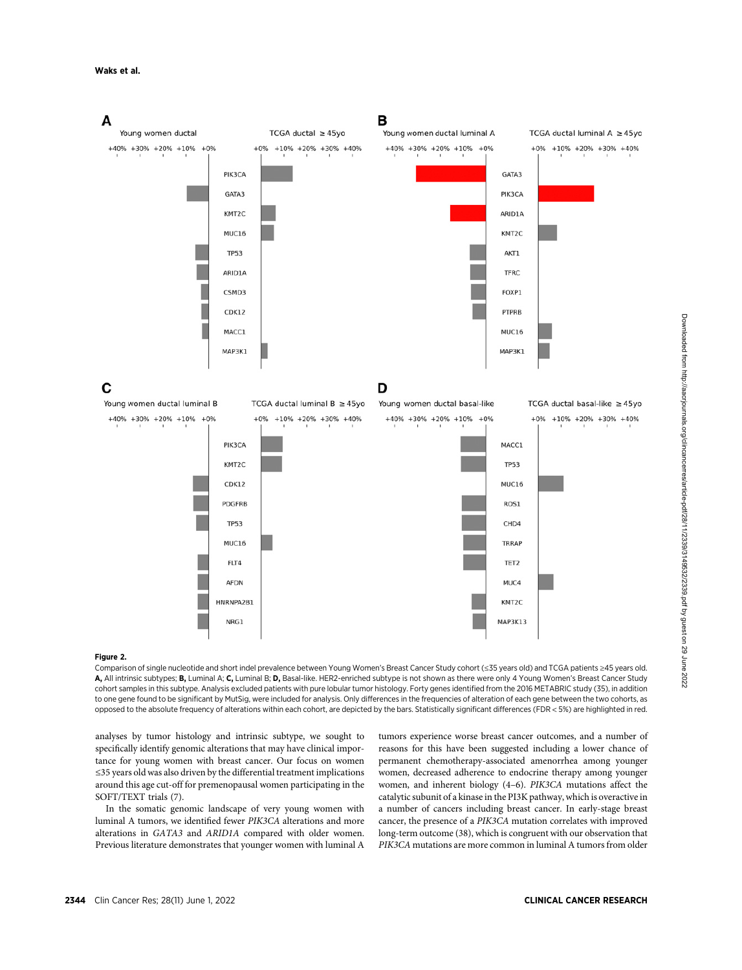### Waks et al.



### Figure 2.

Comparison of single nucleotide and short indel prevalence between Young Women's Breast Cancer Study cohort (≤35 years old) and TCGA patients ≥45 years old. A, All intrinsic subtypes; B, Luminal A; C, Luminal B; D, Basal-like. HER2-enriched subtype is not shown as there were only 4 Young Women's Breast Cancer Study cohort samples in this subtype. Analysis excluded patients with pure lobular tumor histology. Forty genes identified from the 2016 METABRIC study (35), in addition to one gene found to be significant by MutSig, were included for analysis. Only differences in the frequencies of alteration of each gene between the two cohorts, as opposed to the absolute frequency of alterations within each cohort, are depicted by the bars. Statistically significant differences (FDR < 5%) are highlighted in red.

analyses by tumor histology and intrinsic subtype, we sought to specifically identify genomic alterations that may have clinical importance for young women with breast cancer. Our focus on women ≤35 years old was also driven by the differential treatment implications around this age cut-off for premenopausal women participating in the SOFT/TEXT trials (7).

In the somatic genomic landscape of very young women with luminal A tumors, we identified fewer PIK3CA alterations and more alterations in GATA3 and ARID1A compared with older women. Previous literature demonstrates that younger women with luminal A

tumors experience worse breast cancer outcomes, and a number of reasons for this have been suggested including a lower chance of permanent chemotherapy-associated amenorrhea among younger women, decreased adherence to endocrine therapy among younger women, and inherent biology (4–6). PIK3CA mutations affect the catalytic subunit of a kinase in the PI3K pathway, which is overactive in a number of cancers including breast cancer. In early-stage breast cancer, the presence of a PIK3CA mutation correlates with improved long-term outcome (38), which is congruent with our observation that PIK3CA mutations are more common in luminal A tumors from older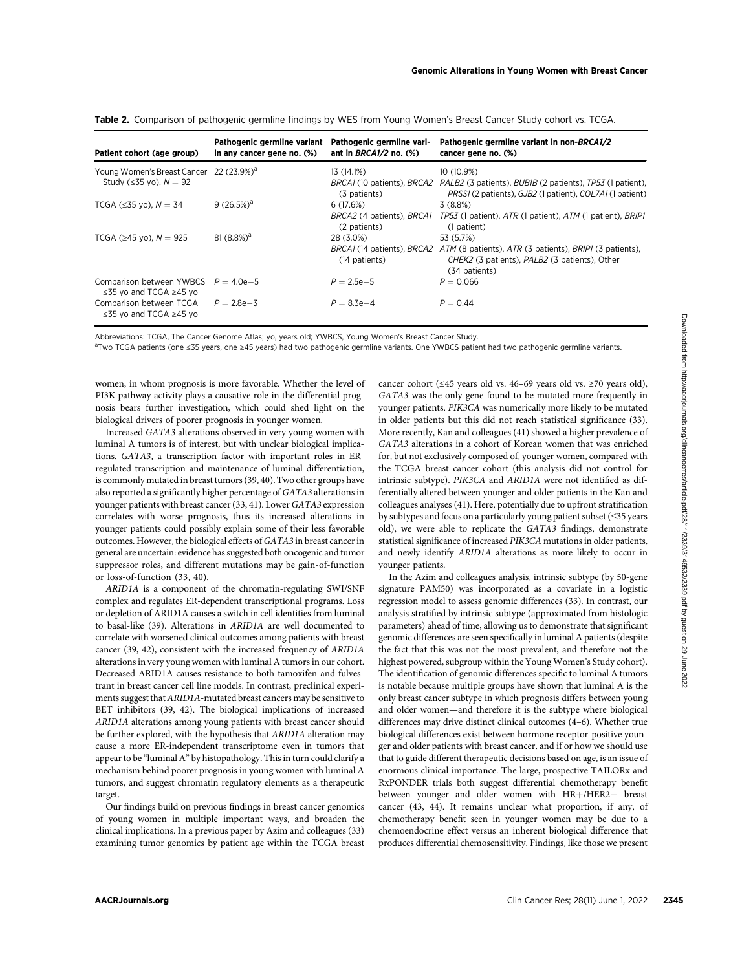| Patient cohort (age group)                                                  | Pathogenic germline variant<br>in any cancer gene no. (%) | Pathogenic germline vari-<br>ant in $BRCA1/2$ no. $(\%)$ | Pathogenic germline variant in non-BRCA1/2<br>cancer gene no. (%)                                                                                    |
|-----------------------------------------------------------------------------|-----------------------------------------------------------|----------------------------------------------------------|------------------------------------------------------------------------------------------------------------------------------------------------------|
| Young Women's Breast Cancer 22 (23.9%) <sup>a</sup>                         |                                                           | 13 (14.1%)                                               | 10 (10.9%)                                                                                                                                           |
| Study ( $\leq$ 35 yo), $N = 92$                                             |                                                           | (3 patients)                                             | BRCA1 (10 patients), BRCA2 PALB2 (3 patients), BUBIB (2 patients), TP53 (1 patient),<br>PRSS1 (2 patients), GJB2 (1 patient), COL7A1 (1 patient)     |
| TCGA ( $\leq$ 35 yo), $N = 34$                                              | $9(26.5%)^a$                                              | 6(17.6%)                                                 | 3(8.8%)                                                                                                                                              |
|                                                                             |                                                           | BRCA2 (4 patients), BRCA1<br>(2 patients)                | TP53 (1 patient), ATR (1 patient), ATM (1 patient), BRIP1<br>(1 patient)                                                                             |
| TCGA ( $\geq$ 45 yo), $N = 925$                                             | $81(8.8\%)^a$                                             | 28 (3.0%)                                                | 53 (5.7%)                                                                                                                                            |
|                                                                             |                                                           | (14 patients)                                            | BRCA1 (14 patients), BRCA2 ATM (8 patients), ATR (3 patients), BRIP1 (3 patients),<br>CHEK2 (3 patients), PALB2 (3 patients), Other<br>(34 patients) |
| Comparison between YWBCS $P = 4.0e-5$<br>$\leq$ 35 vo and TCGA $\geq$ 45 vo |                                                           | $P = 2.5e-5$                                             | $P = 0.066$                                                                                                                                          |
| Comparison between TCGA<br>≤35 yo and TCGA ≥45 yo                           | $P = 2.8e - 3$                                            | $P = 8.3e - 4$                                           | $P = 0.44$                                                                                                                                           |

Table 2. Comparison of pathogenic germline findings by WES from Young Women's Breast Cancer Study cohort vs. TCGA.

Abbreviations: TCGA, The Cancer Genome Atlas; yo, years old; YWBCS, Young Women's Breast Cancer Study.

a<br>Two TCGA patients (one ≤35 years, one ≥45 years) had two pathogenic germline variants. One YWBCS patient had two pathogenic germline variants.

women, in whom prognosis is more favorable. Whether the level of PI3K pathway activity plays a causative role in the differential prognosis bears further investigation, which could shed light on the biological drivers of poorer prognosis in younger women.

Increased GATA3 alterations observed in very young women with luminal A tumors is of interest, but with unclear biological implications. GATA3, a transcription factor with important roles in ERregulated transcription and maintenance of luminal differentiation, is commonly mutated in breast tumors (39, 40). Two other groups have also reported a significantly higher percentage of GATA3 alterations in younger patients with breast cancer (33, 41). Lower GATA3 expression correlates with worse prognosis, thus its increased alterations in younger patients could possibly explain some of their less favorable outcomes. However, the biological effects of GATA3 in breast cancer in general are uncertain: evidence has suggested both oncogenic and tumor suppressor roles, and different mutations may be gain-of-function or loss-of-function (33, 40).

ARID1A is a component of the chromatin-regulating SWI/SNF complex and regulates ER-dependent transcriptional programs. Loss or depletion of ARID1A causes a switch in cell identities from luminal to basal-like (39). Alterations in ARID1A are well documented to correlate with worsened clinical outcomes among patients with breast cancer (39, 42), consistent with the increased frequency of ARID1A alterations in very young women with luminal A tumors in our cohort. Decreased ARID1A causes resistance to both tamoxifen and fulvestrant in breast cancer cell line models. In contrast, preclinical experiments suggest that ARID1A-mutated breast cancers may be sensitive to BET inhibitors (39, 42). The biological implications of increased ARID1A alterations among young patients with breast cancer should be further explored, with the hypothesis that ARID1A alteration may cause a more ER-independent transcriptome even in tumors that appear to be "luminal A" by histopathology. This in turn could clarify a mechanism behind poorer prognosis in young women with luminal A tumors, and suggest chromatin regulatory elements as a therapeutic target.

Our findings build on previous findings in breast cancer genomics of young women in multiple important ways, and broaden the clinical implications. In a previous paper by Azim and colleagues (33) examining tumor genomics by patient age within the TCGA breast

cancer cohort (≤45 years old vs. 46–69 years old vs. ≥70 years old), GATA3 was the only gene found to be mutated more frequently in younger patients. PIK3CA was numerically more likely to be mutated in older patients but this did not reach statistical significance (33). More recently, Kan and colleagues (41) showed a higher prevalence of GATA3 alterations in a cohort of Korean women that was enriched for, but not exclusively composed of, younger women, compared with the TCGA breast cancer cohort (this analysis did not control for intrinsic subtype). PIK3CA and ARID1A were not identified as differentially altered between younger and older patients in the Kan and colleagues analyses (41). Here, potentially due to upfront stratification by subtypes and focus on a particularly young patient subset (≤35 years old), we were able to replicate the GATA3 findings, demonstrate statistical significance of increased PIK3CA mutations in older patients, and newly identify ARID1A alterations as more likely to occur in younger patients.

In the Azim and colleagues analysis, intrinsic subtype (by 50-gene signature PAM50) was incorporated as a covariate in a logistic regression model to assess genomic differences (33). In contrast, our analysis stratified by intrinsic subtype (approximated from histologic parameters) ahead of time, allowing us to demonstrate that significant genomic differences are seen specifically in luminal A patients (despite the fact that this was not the most prevalent, and therefore not the highest powered, subgroup within the Young Women's Study cohort). The identification of genomic differences specific to luminal A tumors is notable because multiple groups have shown that luminal A is the only breast cancer subtype in which prognosis differs between young and older women—and therefore it is the subtype where biological differences may drive distinct clinical outcomes (4–6). Whether true biological differences exist between hormone receptor-positive younger and older patients with breast cancer, and if or how we should use that to guide different therapeutic decisions based on age, is an issue of enormous clinical importance. The large, prospective TAILORx and RxPONDER trials both suggest differential chemotherapy benefit between younger and older women with HR+/HER2- breast cancer (43, 44). It remains unclear what proportion, if any, of chemotherapy benefit seen in younger women may be due to a chemoendocrine effect versus an inherent biological difference that produces differential chemosensitivity. Findings, like those we present Account the control of the control of the control of the control of the control of the control of the control of the control of the control of the control of the control of the control of the control of the control of the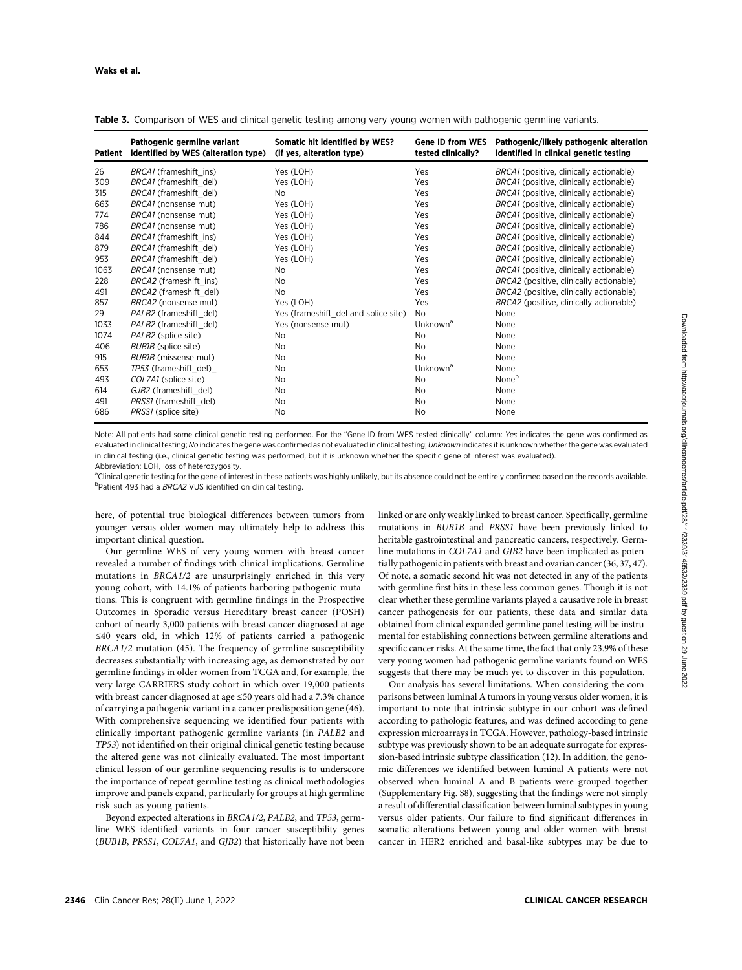| Patient | Pathogenic germline variant<br>identified by WES (alteration type) | Somatic hit identified by WES?<br>(if yes, alteration type) | <b>Gene ID from WES</b><br>tested clinically? | Pathogenic/likely pathogenic alteration<br>identified in clinical genetic testing |
|---------|--------------------------------------------------------------------|-------------------------------------------------------------|-----------------------------------------------|-----------------------------------------------------------------------------------|
| 26      | BRCA1 (frameshift ins)                                             | Yes (LOH)                                                   | Yes                                           | BRCA1 (positive, clinically actionable)                                           |
| 309     | BRCA1 (frameshift del)                                             | Yes (LOH)                                                   | Yes                                           | BRCA1 (positive, clinically actionable)                                           |
| 315     | BRCA1 (frameshift del)                                             | No.                                                         | Yes                                           | BRCA1 (positive, clinically actionable)                                           |
| 663     | BRCA1 (nonsense mut)                                               | Yes (LOH)                                                   | Yes                                           | BRCA1 (positive, clinically actionable)                                           |
| 774     | BRCA1 (nonsense mut)                                               | Yes (LOH)                                                   | Yes                                           | BRCA1 (positive, clinically actionable)                                           |
| 786     | BRCA1 (nonsense mut)                                               | Yes (LOH)                                                   | Yes                                           | BRCA1 (positive, clinically actionable)                                           |
| 844     | BRCA1 (frameshift ins)                                             | Yes (LOH)                                                   | Yes                                           | BRCA1 (positive, clinically actionable)                                           |
| 879     | BRCA1 (frameshift del)                                             | Yes (LOH)                                                   | Yes                                           | BRCA1 (positive, clinically actionable)                                           |
| 953     | BRCA1 (frameshift del)                                             | Yes (LOH)                                                   | Yes                                           | BRCA1 (positive, clinically actionable)                                           |
| 1063    | BRCA1 (nonsense mut)                                               | <b>No</b>                                                   | Yes                                           | BRCA1 (positive, clinically actionable)                                           |
| 228     | BRCA2 (frameshift ins)                                             | No.                                                         | Yes                                           | BRCA2 (positive, clinically actionable)                                           |
| 491     | BRCA2 (frameshift del)                                             | <b>No</b>                                                   | Yes                                           | BRCA2 (positive, clinically actionable)                                           |
| 857     | BRCA2 (nonsense mut)                                               | Yes (LOH)                                                   | Yes                                           | BRCA2 (positive, clinically actionable)                                           |
| 29      | PALB2 (frameshift del)                                             | Yes (frameshift_del and splice site)                        | <b>No</b>                                     | None                                                                              |
| 1033    | PALB2 (frameshift del)                                             | Yes (nonsense mut)                                          | Unknown <sup>a</sup>                          | None                                                                              |
| 1074    | PALB2 (splice site)                                                | No.                                                         | No                                            | None                                                                              |
| 406     | BUB1B (splice site)                                                | No.                                                         | No                                            | None                                                                              |
| 915     | BUB1B (missense mut)                                               | No.                                                         | No                                            | None                                                                              |
| 653     | TP53 (frameshift del)                                              | No.                                                         | Unknown <sup>a</sup>                          | None                                                                              |
| 493     | COL7A1 (splice site)                                               | <b>No</b>                                                   | No                                            | None <sup>b</sup>                                                                 |
| 614     | GJB2 (frameshift del)                                              | No.                                                         | No                                            | None                                                                              |
| 491     | PRSS1 (frameshift del)                                             | No.                                                         | No                                            | None                                                                              |
| 686     | PRSS1 (splice site)                                                | No.                                                         | No                                            | None                                                                              |

Table 3. Comparison of WES and clinical genetic testing among very young women with pathogenic germline variants.

Note: All patients had some clinical genetic testing performed. For the "Gene ID from WES tested clinically" column: Yes indicates the gene was confirmed as evaluated in clinical testing; No indicates the gene was confirmed as not evaluated in clinical testing; Unknown indicates it is unknown whether the gene was evaluated in clinical testing (i.e., clinical genetic testing was performed, but it is unknown whether the specific gene of interest was evaluated). Abbreviation: LOH, loss of heterozygosity.

<sup>a</sup>Clinical genetic testing for the gene of interest in these patients was highly unlikely, but its absence could not be entirely confirmed based on the records available. <sup>b</sup>Patient 493 had a BRCA2 VUS identified on clinical testing.

here, of potential true biological differences between tumors from younger versus older women may ultimately help to address this important clinical question.

Our germline WES of very young women with breast cancer revealed a number of findings with clinical implications. Germline mutations in BRCA1/2 are unsurprisingly enriched in this very young cohort, with 14.1% of patients harboring pathogenic mutations. This is congruent with germline findings in the Prospective Outcomes in Sporadic versus Hereditary breast cancer (POSH) cohort of nearly 3,000 patients with breast cancer diagnosed at age ≤40 years old, in which 12% of patients carried a pathogenic BRCA1/2 mutation (45). The frequency of germline susceptibility decreases substantially with increasing age, as demonstrated by our germline findings in older women from TCGA and, for example, the very large CARRIERS study cohort in which over 19,000 patients with breast cancer diagnosed at age ≤50 years old had a 7.3% chance of carrying a pathogenic variant in a cancer predisposition gene (46). With comprehensive sequencing we identified four patients with clinically important pathogenic germline variants (in PALB2 and TP53) not identified on their original clinical genetic testing because the altered gene was not clinically evaluated. The most important clinical lesson of our germline sequencing results is to underscore the importance of repeat germline testing as clinical methodologies improve and panels expand, particularly for groups at high germline risk such as young patients.

Beyond expected alterations in BRCA1/2, PALB2, and TP53, germline WES identified variants in four cancer susceptibility genes (BUB1B, PRSS1, COL7A1, and GJB2) that historically have not been linked or are only weakly linked to breast cancer. Specifically, germline mutations in BUB1B and PRSS1 have been previously linked to heritable gastrointestinal and pancreatic cancers, respectively. Germline mutations in COL7A1 and GJB2 have been implicated as potentially pathogenic in patients with breast and ovarian cancer (36, 37, 47). Of note, a somatic second hit was not detected in any of the patients with germline first hits in these less common genes. Though it is not clear whether these germline variants played a causative role in breast cancer pathogenesis for our patients, these data and similar data obtained from clinical expanded germline panel testing will be instrumental for establishing connections between germline alterations and specific cancer risks. At the same time, the fact that only 23.9% of these very young women had pathogenic germline variants found on WES suggests that there may be much yet to discover in this population.

Our analysis has several limitations. When considering the comparisons between luminal A tumors in young versus older women, it is important to note that intrinsic subtype in our cohort was defined according to pathologic features, and was defined according to gene expression microarrays in TCGA. However, pathology-based intrinsic subtype was previously shown to be an adequate surrogate for expression-based intrinsic subtype classification (12). In addition, the genomic differences we identified between luminal A patients were not observed when luminal A and B patients were grouped together (Supplementary Fig. S8), suggesting that the findings were not simply a result of differential classification between luminal subtypes in young versus older patients. Our failure to find significant differences in somatic alterations between young and older women with breast cancer in HER2 enriched and basal-like subtypes may be due to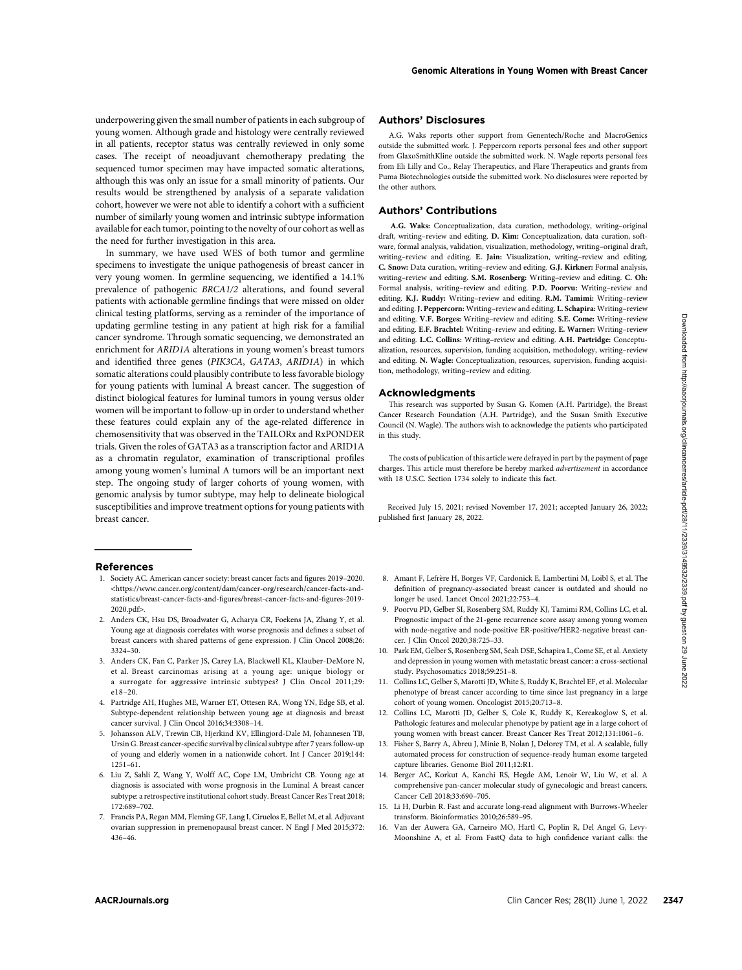underpowering given the small number of patients in each subgroup of young women. Although grade and histology were centrally reviewed in all patients, receptor status was centrally reviewed in only some cases. The receipt of neoadjuvant chemotherapy predating the sequenced tumor specimen may have impacted somatic alterations,

although this was only an issue for a small minority of patients. Our results would be strengthened by analysis of a separate validation cohort, however we were not able to identify a cohort with a sufficient number of similarly young women and intrinsic subtype information available for each tumor, pointing to the novelty of our cohort as well as the need for further investigation in this area.

In summary, we have used WES of both tumor and germline specimens to investigate the unique pathogenesis of breast cancer in very young women. In germline sequencing, we identified a 14.1% prevalence of pathogenic BRCA1/2 alterations, and found several patients with actionable germline findings that were missed on older clinical testing platforms, serving as a reminder of the importance of updating germline testing in any patient at high risk for a familial cancer syndrome. Through somatic sequencing, we demonstrated an enrichment for ARID1A alterations in young women's breast tumors and identified three genes (PIK3CA, GATA3, ARID1A) in which somatic alterations could plausibly contribute to less favorable biology for young patients with luminal A breast cancer. The suggestion of distinct biological features for luminal tumors in young versus older women will be important to follow-up in order to understand whether these features could explain any of the age-related difference in chemosensitivity that was observed in the TAILORx and RxPONDER trials. Given the roles of GATA3 as a transcription factor and ARID1A as a chromatin regulator, examination of transcriptional profiles among young women's luminal A tumors will be an important next step. The ongoing study of larger cohorts of young women, with genomic analysis by tumor subtype, may help to delineate biological susceptibilities and improve treatment options for young patients with breast cancer. And general state in the property in the state of the state of the state of the state of the state of the state of the state of the state of the state of the state of the state of the state of the state of the state of th

#### References

- 1. Society AC. American cancer society: breast cancer facts and figures 2019–2020. <[https://www.cancer.org/content/dam/cancer-org/research/cancer-facts-and](https://www.cancer.org/content/dam/cancer-org/research/cancer-facts-and-statistics/breast-cancer-facts-and-figures/breast-cancer-facts-and-figures-2019-2020.pdf)[statistics/breast-cancer-facts-and-](https://www.cancer.org/content/dam/cancer-org/research/cancer-facts-and-statistics/breast-cancer-facts-and-figures/breast-cancer-facts-and-figures-2019-2020.pdf)figures/breast-cancer-facts-and-figures-2019- [2020.pdf](https://www.cancer.org/content/dam/cancer-org/research/cancer-facts-and-statistics/breast-cancer-facts-and-figures/breast-cancer-facts-and-figures-2019-2020.pdf)>.
- 2. Anders CK, Hsu DS, Broadwater G, Acharya CR, Foekens JA, Zhang Y, et al. Young age at diagnosis correlates with worse prognosis and defines a subset of breast cancers with shared patterns of gene expression. J Clin Oncol 2008;26: 3324–30.
- 3. Anders CK, Fan C, Parker JS, Carey LA, Blackwell KL, Klauber-DeMore N, et al. Breast carcinomas arising at a young age: unique biology or a surrogate for aggressive intrinsic subtypes? J Clin Oncol 2011;29: e18–20.
- 4. Partridge AH, Hughes ME, Warner ET, Ottesen RA, Wong YN, Edge SB, et al. Subtype-dependent relationship between young age at diagnosis and breast cancer survival. J Clin Oncol 2016;34:3308–14.
- 5. Johansson ALV, Trewin CB, Hjerkind KV, Ellingjord-Dale M, Johannesen TB, Ursin G. Breast cancer-specific survival by clinical subtype after 7 years follow-up of young and elderly women in a nationwide cohort. Int J Cancer 2019;144: 1251–61.
- 6. Liu Z, Sahli Z, Wang Y, Wolff AC, Cope LM, Umbricht CB. Young age at diagnosis is associated with worse prognosis in the Luminal A breast cancer subtype: a retrospective institutional cohort study. Breast Cancer Res Treat 2018; 172:689–702.
- 7. Francis PA, Regan MM, Fleming GF, Lang I, Ciruelos E, Bellet M, et al. Adjuvant ovarian suppression in premenopausal breast cancer. N Engl J Med 2015;372: 436–46.

## Authors' Disclosures

A.G. Waks reports other support from Genentech/Roche and MacroGenics outside the submitted work. J. Peppercorn reports personal fees and other support from GlaxoSmithKline outside the submitted work. N. Wagle reports personal fees from Eli Lilly and Co., Relay Therapeutics, and Flare Therapeutics and grants from Puma Biotechnologies outside the submitted work. No disclosures were reported by the other authors.

### Authors' Contributions

A.G. Waks: Conceptualization, data curation, methodology, writing–original draft, writing–review and editing. D. Kim: Conceptualization, data curation, software, formal analysis, validation, visualization, methodology, writing–original draft, writing–review and editing. E. Jain: Visualization, writing–review and editing. C. Snow: Data curation, writing–review and editing. G.J. Kirkner: Formal analysis, writing–review and editing. S.M. Rosenberg: Writing–review and editing. C. Oh: Formal analysis, writing–review and editing. P.D. Poorvu: Writing–review and editing. K.J. Ruddy: Writing–review and editing. R.M. Tamimi: Writing–review and editing.J. Peppercorn: Writing–review and editing. L. Schapira: Writing–review and editing. V.F. Borges: Writing–review and editing. S.E. Come: Writing–review and editing. E.F. Brachtel: Writing–review and editing. E. Warner: Writing–review and editing. L.C. Collins: Writing–review and editing. A.H. Partridge: Conceptualization, resources, supervision, funding acquisition, methodology, writing–review and editing. N. Wagle: Conceptualization, resources, supervision, funding acquisition, methodology, writing–review and editing.

#### Acknowledgments

This research was supported by Susan G. Komen (A.H. Partridge), the Breast Cancer Research Foundation (A.H. Partridge), and the Susan Smith Executive Council (N. Wagle). The authors wish to acknowledge the patients who participated in this study.

The costs of publication of this article were defrayed in part by the payment of page charges. This article must therefore be hereby marked advertisement in accordance with 18 U.S.C. Section 1734 solely to indicate this fact.

Received July 15, 2021; revised November 17, 2021; accepted January 26, 2022; published first January 28, 2022.

- 8. Amant F, Lefrère H, Borges VF, Cardonick E, Lambertini M, Loibl S, et al. The definition of pregnancy-associated breast cancer is outdated and should no longer be used. Lancet Oncol 2021;22:753–4.
- 9. Poorvu PD, Gelber SI, Rosenberg SM, Ruddy KJ, Tamimi RM, Collins LC, et al. Prognostic impact of the 21-gene recurrence score assay among young women with node-negative and node-positive ER-positive/HER2-negative breast cancer. J Clin Oncol 2020;38:725–33.
- 10. Park EM, Gelber S, Rosenberg SM, Seah DSE, Schapira L, Come SE, et al. Anxiety and depression in young women with metastatic breast cancer: a cross-sectional study. Psychosomatics 2018;59:251–8.
- 11. Collins LC, Gelber S, Marotti JD, White S, Ruddy K, Brachtel EF, et al. Molecular phenotype of breast cancer according to time since last pregnancy in a large cohort of young women. Oncologist 2015;20:713–8.
- 12. Collins LC, Marotti JD, Gelber S, Cole K, Ruddy K, Kereakoglow S, et al. Pathologic features and molecular phenotype by patient age in a large cohort of young women with breast cancer. Breast Cancer Res Treat 2012;131:1061–6.
- 13. Fisher S, Barry A, Abreu J, Minie B, Nolan J, Delorey TM, et al. A scalable, fully automated process for construction of sequence-ready human exome targeted capture libraries. Genome Biol 2011;12:R1.
- 14. Berger AC, Korkut A, Kanchi RS, Hegde AM, Lenoir W, Liu W, et al. A comprehensive pan-cancer molecular study of gynecologic and breast cancers. Cancer Cell 2018;33:690–705.
- 15. Li H, Durbin R. Fast and accurate long-read alignment with Burrows-Wheeler transform. Bioinformatics 2010;26:589–95.
- 16. Van der Auwera GA, Carneiro MO, Hartl C, Poplin R, Del Angel G, Levy-Moonshine A, et al. From FastQ data to high confidence variant calls: the